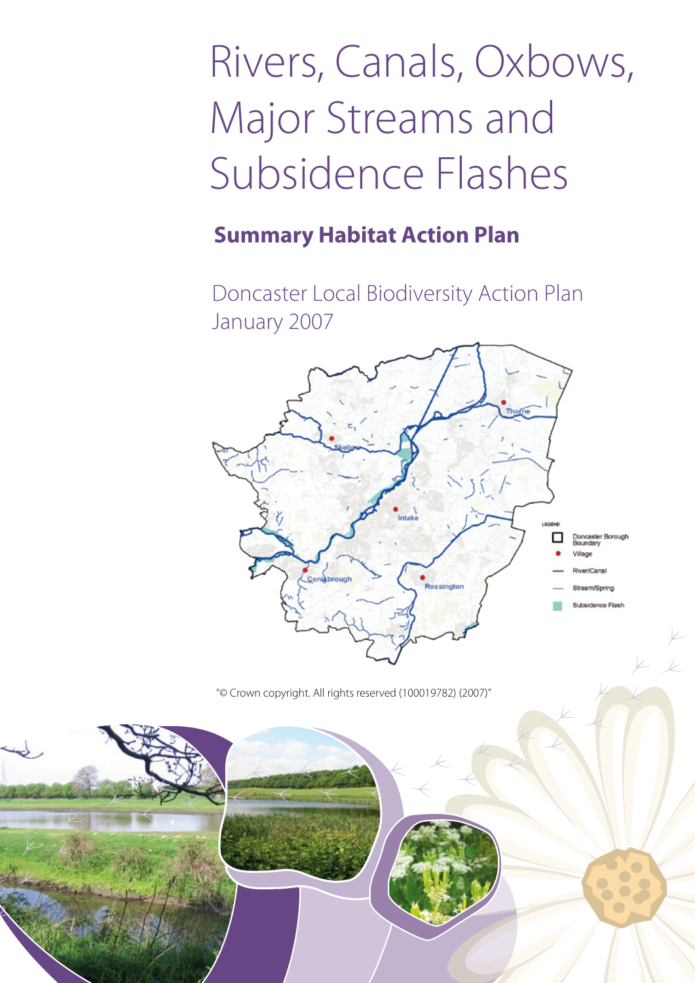# Rivers, Canals, Oxbows, Major Streams and Subsidence Flashes

## **Summary Habitat Action Plan**

Doncaster Local Biodiversity Action Plan January 2007



"© Crown copyright. All rights reserved (100019782) (2007)"

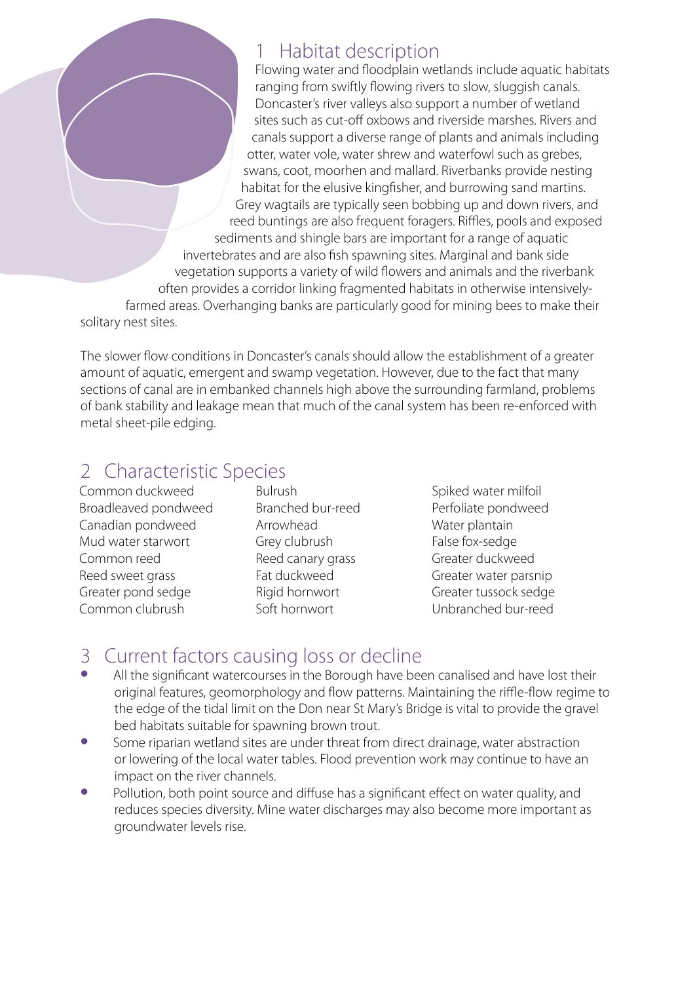#### 1 Habitat description

Flowing water and floodplain wetlands include aquatic habitats ranging from swiftly flowing rivers to slow, sluggish canals. Doncaster's river valleys also support a number of wetland sites such as cut-off oxbows and riverside marshes. Rivers and canals support a diverse range of plants and animals including otter, water vole, water shrew and waterfowl such as grebes, swans, coot, moorhen and mallard. Riverbanks provide nesting habitat for the elusive kingfisher, and burrowing sand martins. Grey wagtails are typically seen bobbing up and down rivers, and reed buntings are also frequent foragers. Riffles, pools and exposed sediments and shingle bars are important for a range of aquatic invertebrates and are also fish spawning sites. Marginal and bank side vegetation supports a variety of wild flowers and animals and the riverbank often provides a corridor linking fragmented habitats in otherwise intensivelyfarmed areas. Overhanging banks are particularly good for mining bees to make their solitary nest sites.

The slower flow conditions in Doncaster's canals should allow the establishment of a greater amount of aquatic, emergent and swamp vegetation. However, due to the fact that many sections of canal are in embanked channels high above the surrounding farmland, problems of bank stability and leakage mean that much of the canal system has been re-enforced with metal sheet-pile edging.

#### 2 Characteristic Species

Common duckweed Broadleaved pondweed Canadian pondweed Mud water starwort Common reed Reed sweet grass Greater pond sedge Common clubrush

Bulrush Branched bur-reed Arrowhead Grey clubrush Reed canary grass Fat duckweed Rigid hornwort Soft hornwort

Spiked water milfoil Perfoliate pondweed Water plantain False fox-sedge Greater duckweed Greater water parsnip Greater tussock sedge Unbranched bur-reed

#### 3 Current factors causing loss or decline

- All the significant watercourses in the Borough have been canalised and have lost their original features, geomorphology and flow patterns. Maintaining the riffle-flow regime to the edge of the tidal limit on the Don near St Mary's Bridge is vital to provide the gravel bed habitats suitable for spawning brown trout.
- Some riparian wetland sites are under threat from direct drainage, water abstraction or lowering of the local water tables. Flood prevention work may continue to have an impact on the river channels.
- Pollution, both point source and diffuse has a significant effect on water quality, and reduces species diversity. Mine water discharges may also become more important as groundwater levels rise.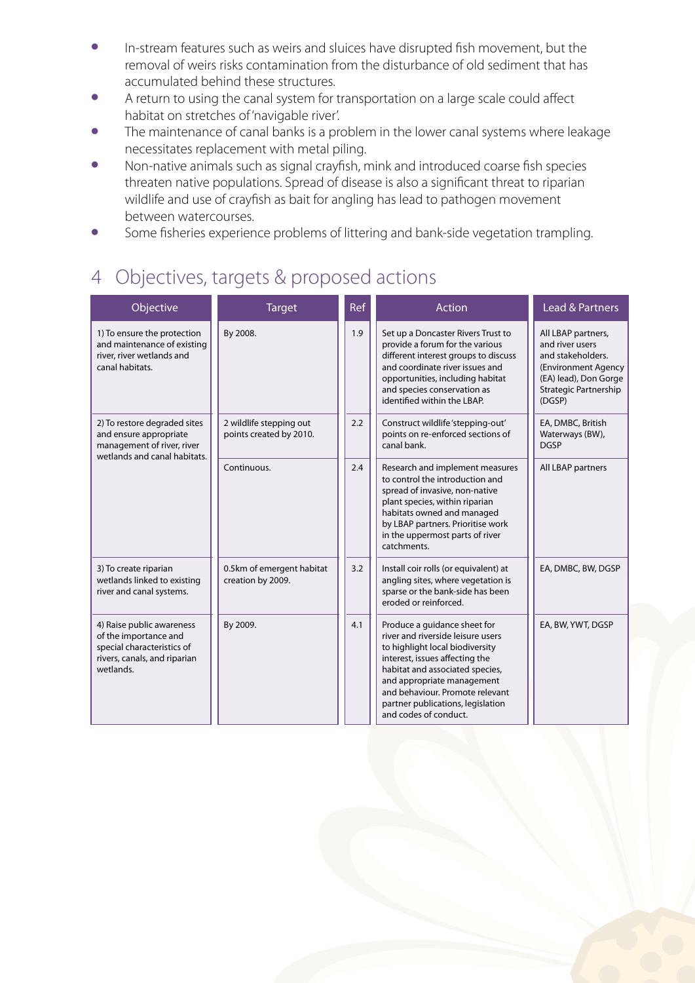- In-stream features such as weirs and sluices have disrupted fish movement, but the removal of weirs risks contamination from the disturbance of old sediment that has accumulated behind these structures.
- A return to using the canal system for transportation on a large scale could affect habitat on stretches of 'navigable river'.
- The maintenance of canal banks is a problem in the lower canal systems where leakage necessitates replacement with metal piling.
- Non-native animals such as signal crayfish, mink and introduced coarse fish species threaten native populations. Spread of disease is also a significant threat to riparian wildlife and use of crayfish as bait for angling has lead to pathogen movement between watercourses.
- Some fisheries experience problems of littering and bank-side vegetation trampling.

### 4 Objectives, targets & proposed actions

| Objective                                                                                                                     | <b>Target</b>                                      | Ref | <b>Action</b>                                                                                                                                                                                                                                                                                            | <b>Lead &amp; Partners</b>                                                                                                                    |
|-------------------------------------------------------------------------------------------------------------------------------|----------------------------------------------------|-----|----------------------------------------------------------------------------------------------------------------------------------------------------------------------------------------------------------------------------------------------------------------------------------------------------------|-----------------------------------------------------------------------------------------------------------------------------------------------|
| 1) To ensure the protection<br>and maintenance of existing<br>river, river wetlands and<br>canal habitats.                    | By 2008.                                           | 1.9 | Set up a Doncaster Rivers Trust to<br>provide a forum for the various<br>different interest groups to discuss<br>and coordinate river issues and<br>opportunities, including habitat<br>and species conservation as<br>identified within the LBAP.                                                       | All LBAP partners,<br>and river users<br>and stakeholders.<br>(Environment Agency<br>(EA) lead), Don Gorge<br>Strategic Partnership<br>(DGSP) |
| 2) To restore degraded sites<br>and ensure appropriate<br>management of river, river<br>wetlands and canal habitats.          | 2 wildlife stepping out<br>points created by 2010. | 2.2 | Construct wildlife 'stepping-out'<br>points on re-enforced sections of<br>canal bank.                                                                                                                                                                                                                    | EA, DMBC, British<br>Waterways (BW),<br><b>DGSP</b>                                                                                           |
|                                                                                                                               | Continuous.                                        | 2.4 | Research and implement measures<br>to control the introduction and<br>spread of invasive, non-native<br>plant species, within riparian<br>habitats owned and managed<br>by LBAP partners. Prioritise work<br>in the uppermost parts of river<br>catchments.                                              | All LBAP partners                                                                                                                             |
| 3) To create riparian<br>wetlands linked to existing<br>river and canal systems.                                              | 0.5km of emergent habitat<br>creation by 2009.     | 3.2 | Install coir rolls (or equivalent) at<br>angling sites, where vegetation is<br>sparse or the bank-side has been<br>eroded or reinforced.                                                                                                                                                                 | EA, DMBC, BW, DGSP                                                                                                                            |
| 4) Raise public awareness<br>of the importance and<br>special characteristics of<br>rivers, canals, and riparian<br>wetlands. | By 2009.                                           | 4.1 | Produce a guidance sheet for<br>river and riverside leisure users<br>to highlight local biodiversity<br>interest, issues affecting the<br>habitat and associated species,<br>and appropriate management<br>and behaviour. Promote relevant<br>partner publications, legislation<br>and codes of conduct. | EA, BW, YWT, DGSP                                                                                                                             |